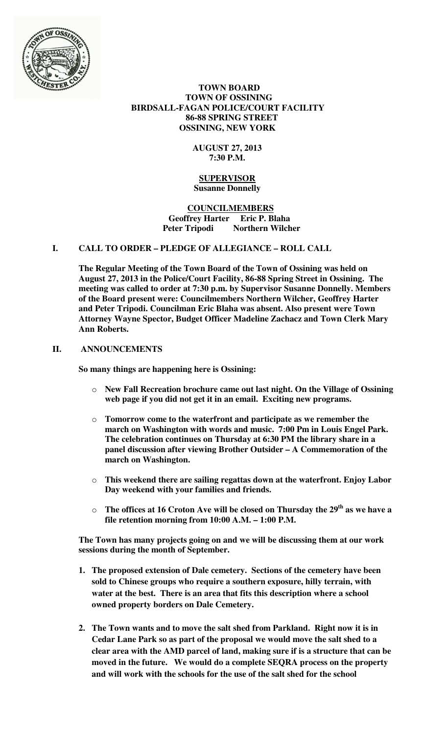

## **TOWN BOARD TOWN OF OSSINING BIRDSALL-FAGAN POLICE/COURT FACILITY 86-88 SPRING STREET OSSINING, NEW YORK**

# **AUGUST 27, 2013 7:30 P.M.**

## **SUPERVISOR Susanne Donnelly**

## **COUNCILMEMBERS Geoffrey Harter Eric P. Blaha**  Peter Tripodi Northern Wilcher

# **I. CALL TO ORDER – PLEDGE OF ALLEGIANCE – ROLL CALL**

**The Regular Meeting of the Town Board of the Town of Ossining was held on August 27, 2013 in the Police/Court Facility, 86-88 Spring Street in Ossining. The meeting was called to order at 7:30 p.m. by Supervisor Susanne Donnelly. Members of the Board present were: Councilmembers Northern Wilcher, Geoffrey Harter and Peter Tripodi. Councilman Eric Blaha was absent. Also present were Town Attorney Wayne Spector, Budget Officer Madeline Zachacz and Town Clerk Mary Ann Roberts.** 

## **II. ANNOUNCEMENTS**

**So many things are happening here is Ossining:**

- o **New Fall Recreation brochure came out last night. On the Village of Ossining web page if you did not get it in an email. Exciting new programs.**
- o **Tomorrow come to the waterfront and participate as we remember the march on Washington with words and music. 7:00 Pm in Louis Engel Park. The celebration continues on Thursday at 6:30 PM the library share in a panel discussion after viewing Brother Outsider – A Commemoration of the march on Washington.**
- o **This weekend there are sailing regattas down at the waterfront. Enjoy Labor Day weekend with your families and friends.**
- o **The offices at 16 Croton Ave will be closed on Thursday the 29th as we have a file retention morning from 10:00 A.M. – 1:00 P.M.**

**The Town has many projects going on and we will be discussing them at our work sessions during the month of September.** 

- **1. The proposed extension of Dale cemetery. Sections of the cemetery have been sold to Chinese groups who require a southern exposure, hilly terrain, with water at the best. There is an area that fits this description where a school owned property borders on Dale Cemetery.**
- **2. The Town wants and to move the salt shed from Parkland. Right now it is in Cedar Lane Park so as part of the proposal we would move the salt shed to a clear area with the AMD parcel of land, making sure if is a structure that can be moved in the future. We would do a complete SEQRA process on the property and will work with the schools for the use of the salt shed for the school**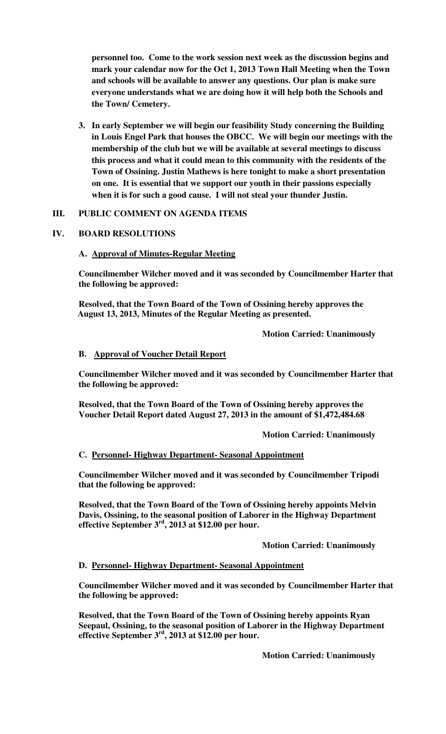**personnel too. Come to the work session next week as the discussion begins and mark your calendar now for the Oct 1, 2013 Town Hall Meeting when the Town and schools will be available to answer any questions. Our plan is make sure everyone understands what we are doing how it will help both the Schools and the Town/ Cemetery.** 

**3. In early September we will begin our feasibility Study concerning the Building in Louis Engel Park that houses the OBCC. We will begin our meetings with the membership of the club but we will be available at several meetings to discuss this process and what it could mean to this community with the residents of the Town of Ossining. Justin Mathews is here tonight to make a short presentation on one. It is essential that we support our youth in their passions especially when it is for such a good cause. I will not steal your thunder Justin.** 

## **III. PUBLIC COMMENT ON AGENDA ITEMS**

## **IV. BOARD RESOLUTIONS**

## **A. Approval of Minutes-Regular Meeting**

**Councilmember Wilcher moved and it was seconded by Councilmember Harter that the following be approved:** 

**Resolved, that the Town Board of the Town of Ossining hereby approves the August 13, 2013, Minutes of the Regular Meeting as presented.** 

 **Motion Carried: Unanimously** 

#### **B. Approval of Voucher Detail Report**

**Councilmember Wilcher moved and it was seconded by Councilmember Harter that the following be approved:** 

**Resolved, that the Town Board of the Town of Ossining hereby approves the Voucher Detail Report dated August 27, 2013 in the amount of \$1,472,484.68** 

 **Motion Carried: Unanimously** 

#### **C. Personnel- Highway Department- Seasonal Appointment**

**Councilmember Wilcher moved and it was seconded by Councilmember Tripodi that the following be approved:** 

**Resolved, that the Town Board of the Town of Ossining hereby appoints Melvin Davis, Ossining, to the seasonal position of Laborer in the Highway Department effective September 3rd, 2013 at \$12.00 per hour.** 

 **Motion Carried: Unanimously** 

#### **D. Personnel- Highway Department- Seasonal Appointment**

**Councilmember Wilcher moved and it was seconded by Councilmember Harter that the following be approved:** 

**Resolved, that the Town Board of the Town of Ossining hereby appoints Ryan Seepaul, Ossining, to the seasonal position of Laborer in the Highway Department effective September 3rd, 2013 at \$12.00 per hour.** 

 **Motion Carried: Unanimously**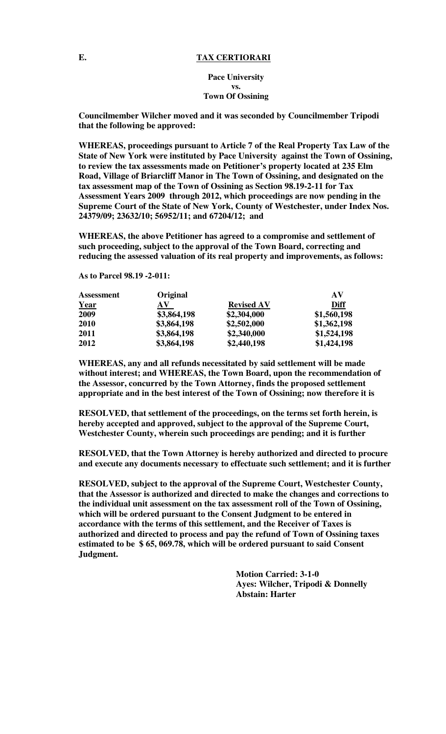#### **E. TAX CERTIORARI**

**Pace University vs. Town Of Ossining**

**Councilmember Wilcher moved and it was seconded by Councilmember Tripodi that the following be approved:** 

**WHEREAS, proceedings pursuant to Article 7 of the Real Property Tax Law of the State of New York were instituted by Pace University against the Town of Ossining, to review the tax assessments made on Petitioner's property located at 235 Elm Road, Village of Briarcliff Manor in The Town of Ossining, and designated on the tax assessment map of the Town of Ossining as Section 98.19-2-11 for Tax Assessment Years 2009 through 2012, which proceedings are now pending in the Supreme Court of the State of New York, County of Westchester, under Index Nos. 24379/09; 23632/10; 56952/11; and 67204/12; and** 

**WHEREAS, the above Petitioner has agreed to a compromise and settlement of such proceeding, subject to the approval of the Town Board, correcting and reducing the assessed valuation of its real property and improvements, as follows:** 

**As to Parcel 98.19 -2-011:** 

| <b>Assessment</b> | Original    |                   | AV          |
|-------------------|-------------|-------------------|-------------|
| <u>Year</u>       | AV          | <b>Revised AV</b> | Diff        |
| 2009              | \$3,864,198 | \$2,304,000       | \$1,560,198 |
| 2010              | \$3,864,198 | \$2,502,000       | \$1,362,198 |
| 2011              | \$3,864,198 | \$2,340,000       | \$1,524,198 |
| 2012              | \$3,864,198 | \$2,440,198       | \$1,424,198 |

**WHEREAS, any and all refunds necessitated by said settlement will be made without interest; and WHEREAS, the Town Board, upon the recommendation of the Assessor, concurred by the Town Attorney, finds the proposed settlement appropriate and in the best interest of the Town of Ossining; now therefore it is** 

**RESOLVED, that settlement of the proceedings, on the terms set forth herein, is hereby accepted and approved, subject to the approval of the Supreme Court, Westchester County, wherein such proceedings are pending; and it is further** 

**RESOLVED, that the Town Attorney is hereby authorized and directed to procure and execute any documents necessary to effectuate such settlement; and it is further** 

**RESOLVED, subject to the approval of the Supreme Court, Westchester County, that the Assessor is authorized and directed to make the changes and corrections to the individual unit assessment on the tax assessment roll of the Town of Ossining, which will be ordered pursuant to the Consent Judgment to be entered in accordance with the terms of this settlement, and the Receiver of Taxes is authorized and directed to process and pay the refund of Town of Ossining taxes estimated to be \$ 65, 069.78, which will be ordered pursuant to said Consent Judgment.** 

> **Motion Carried: 3-1-0 Ayes: Wilcher, Tripodi & Donnelly Abstain: Harter**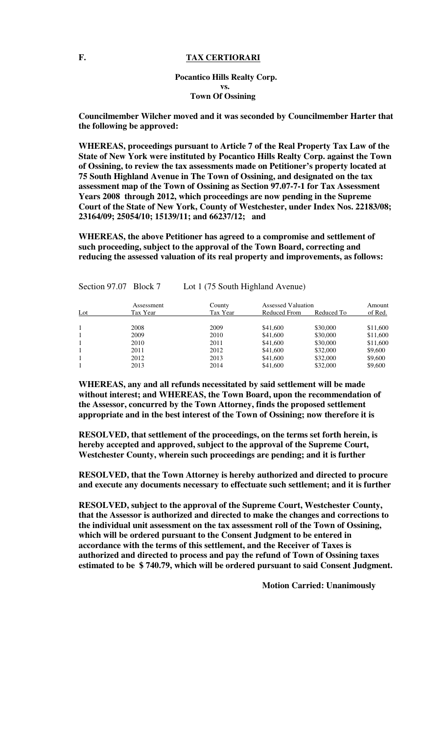## **Pocantico Hills Realty Corp. vs. Town Of Ossining**

**Councilmember Wilcher moved and it was seconded by Councilmember Harter that the following be approved:** 

**WHEREAS, proceedings pursuant to Article 7 of the Real Property Tax Law of the State of New York were instituted by Pocantico Hills Realty Corp. against the Town of Ossining, to review the tax assessments made on Petitioner's property located at 75 South Highland Avenue in The Town of Ossining, and designated on the tax assessment map of the Town of Ossining as Section 97.07-7-1 for Tax Assessment Years 2008 through 2012, which proceedings are now pending in the Supreme Court of the State of New York, County of Westchester, under Index Nos. 22183/08; 23164/09; 25054/10; 15139/11; and 66237/12; and** 

**WHEREAS, the above Petitioner has agreed to a compromise and settlement of such proceeding, subject to the approval of the Town Board, correcting and reducing the assessed valuation of its real property and improvements, as follows:** 

Section 97.07 Block 7 Lot 1 (75 South Highland Avenue)

|     | Assessment | County   | Assessed Valuation |            | Amount   |
|-----|------------|----------|--------------------|------------|----------|
| Lot | Tax Year   | Tax Year | Reduced From       | Reduced To | of Red.  |
|     | 2008       | 2009     | \$41,600           | \$30,000   | \$11,600 |
|     | 2009       | 2010     | \$41,600           | \$30,000   | \$11,600 |
|     | 2010       | 2011     | \$41,600           | \$30,000   | \$11,600 |
|     | 2011       | 2012     | \$41,600           | \$32,000   | \$9,600  |
|     | 2012       | 2013     | \$41,600           | \$32,000   | \$9,600  |
|     | 2013       | 2014     | \$41,600           | \$32,000   | \$9,600  |

**WHEREAS, any and all refunds necessitated by said settlement will be made without interest; and WHEREAS, the Town Board, upon the recommendation of the Assessor, concurred by the Town Attorney, finds the proposed settlement appropriate and in the best interest of the Town of Ossining; now therefore it is** 

**RESOLVED, that settlement of the proceedings, on the terms set forth herein, is hereby accepted and approved, subject to the approval of the Supreme Court, Westchester County, wherein such proceedings are pending; and it is further** 

**RESOLVED, that the Town Attorney is hereby authorized and directed to procure and execute any documents necessary to effectuate such settlement; and it is further** 

**RESOLVED, subject to the approval of the Supreme Court, Westchester County, that the Assessor is authorized and directed to make the changes and corrections to the individual unit assessment on the tax assessment roll of the Town of Ossining, which will be ordered pursuant to the Consent Judgment to be entered in accordance with the terms of this settlement, and the Receiver of Taxes is authorized and directed to process and pay the refund of Town of Ossining taxes estimated to be \$ 740.79, which will be ordered pursuant to said Consent Judgment.** 

 **Motion Carried: Unanimously**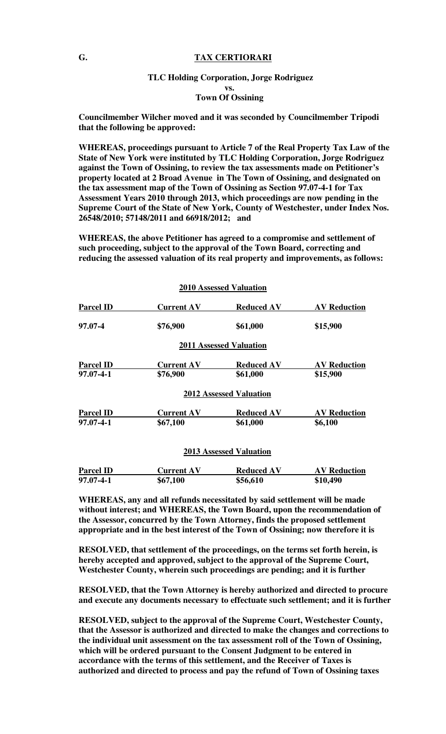#### **G. TAX CERTIORARI**

#### **TLC Holding Corporation, Jorge Rodriguez vs. Town Of Ossining**

**Councilmember Wilcher moved and it was seconded by Councilmember Tripodi that the following be approved:** 

**WHEREAS, proceedings pursuant to Article 7 of the Real Property Tax Law of the State of New York were instituted by TLC Holding Corporation, Jorge Rodriguez against the Town of Ossining, to review the tax assessments made on Petitioner's property located at 2 Broad Avenue in The Town of Ossining, and designated on the tax assessment map of the Town of Ossining as Section 97.07-4-1 for Tax Assessment Years 2010 through 2013, which proceedings are now pending in the Supreme Court of the State of New York, County of Westchester, under Index Nos. 26548/2010; 57148/2011 and 66918/2012; and** 

**WHEREAS, the above Petitioner has agreed to a compromise and settlement of such proceeding, subject to the approval of the Town Board, correcting and reducing the assessed valuation of its real property and improvements, as follows:** 

|                  |                   | <b>2010 Assessed Valuation</b> |                     |
|------------------|-------------------|--------------------------------|---------------------|
| <b>Parcel ID</b> | <b>Current AV</b> | <b>Reduced AV</b>              | <b>AV Reduction</b> |
| 97.07-4          | \$76,900          | \$61,000                       | \$15,900            |
|                  |                   | <b>2011 Assessed Valuation</b> |                     |
| <b>Parcel ID</b> | <b>Current AV</b> | <b>Reduced AV</b>              | <b>AV Reduction</b> |
| 97.07-4-1        | \$76,900          | \$61,000                       | \$15,900            |
|                  |                   | <b>2012 Assessed Valuation</b> |                     |
| <b>Parcel ID</b> | <b>Current AV</b> | <b>Reduced AV</b>              | <b>AV Reduction</b> |
| 97.07-4-1        | \$67,100          | \$61,000                       | \$6,100             |
|                  |                   | <b>2013 Assessed Valuation</b> |                     |
| <b>Parcel ID</b> | <b>Current AV</b> | <b>Reduced AV</b>              | <b>AV Reduction</b> |
| 97.07-4-1        | \$67,100          | \$56,610                       | \$10,490            |

**WHEREAS, any and all refunds necessitated by said settlement will be made without interest; and WHEREAS, the Town Board, upon the recommendation of the Assessor, concurred by the Town Attorney, finds the proposed settlement appropriate and in the best interest of the Town of Ossining; now therefore it is** 

**RESOLVED, that settlement of the proceedings, on the terms set forth herein, is hereby accepted and approved, subject to the approval of the Supreme Court, Westchester County, wherein such proceedings are pending; and it is further** 

**RESOLVED, that the Town Attorney is hereby authorized and directed to procure and execute any documents necessary to effectuate such settlement; and it is further** 

**RESOLVED, subject to the approval of the Supreme Court, Westchester County, that the Assessor is authorized and directed to make the changes and corrections to the individual unit assessment on the tax assessment roll of the Town of Ossining, which will be ordered pursuant to the Consent Judgment to be entered in accordance with the terms of this settlement, and the Receiver of Taxes is authorized and directed to process and pay the refund of Town of Ossining taxes**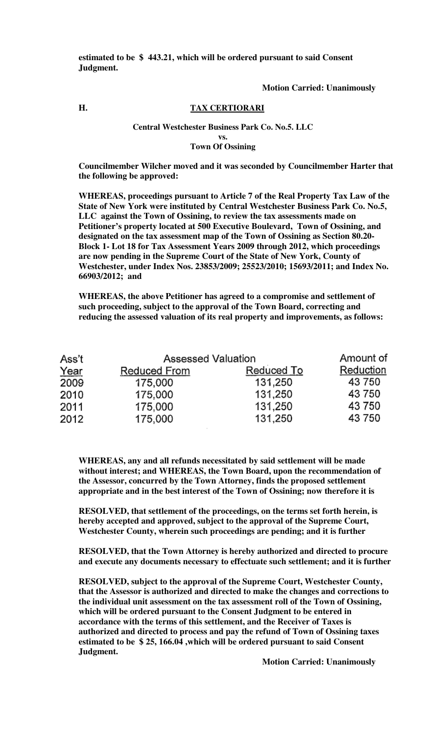**estimated to be \$ 443.21, which will be ordered pursuant to said Consent Judgment.** 

#### **Motion Carried: Unanimously**

## **H. TAX CERTIORARI**

#### **Central Westchester Business Park Co. No.5. LLC vs.**

**Town Of Ossining**

**Councilmember Wilcher moved and it was seconded by Councilmember Harter that the following be approved:** 

**WHEREAS, proceedings pursuant to Article 7 of the Real Property Tax Law of the State of New York were instituted by Central Westchester Business Park Co. No.5, LLC against the Town of Ossining, to review the tax assessments made on Petitioner's property located at 500 Executive Boulevard, Town of Ossining, and designated on the tax assessment map of the Town of Ossining as Section 80.20- Block 1- Lot 18 for Tax Assessment Years 2009 through 2012, which proceedings are now pending in the Supreme Court of the State of New York, County of Westchester, under Index Nos. 23853/2009; 25523/2010; 15693/2011; and Index No. 66903/2012; and** 

**WHEREAS, the above Petitioner has agreed to a compromise and settlement of such proceeding, subject to the approval of the Town Board, correcting and reducing the assessed valuation of its real property and improvements, as follows:** 

| Ass't |              | <b>Assessed Valuation</b> |           |  |
|-------|--------------|---------------------------|-----------|--|
| Year  | Reduced From | Reduced To                | Reduction |  |
| 2009  | 175,000      | 131,250                   | 43 750    |  |
| 2010  | 175,000      | 131,250                   | 43 750    |  |
| 2011  | 175.000      | 131,250                   | 43 750    |  |
| 2012  | 175,000      | 131,250                   | 43 750    |  |

**WHEREAS, any and all refunds necessitated by said settlement will be made without interest; and WHEREAS, the Town Board, upon the recommendation of the Assessor, concurred by the Town Attorney, finds the proposed settlement appropriate and in the best interest of the Town of Ossining; now therefore it is** 

**RESOLVED, that settlement of the proceedings, on the terms set forth herein, is hereby accepted and approved, subject to the approval of the Supreme Court, Westchester County, wherein such proceedings are pending; and it is further** 

**RESOLVED, that the Town Attorney is hereby authorized and directed to procure and execute any documents necessary to effectuate such settlement; and it is further** 

**RESOLVED, subject to the approval of the Supreme Court, Westchester County, that the Assessor is authorized and directed to make the changes and corrections to the individual unit assessment on the tax assessment roll of the Town of Ossining, which will be ordered pursuant to the Consent Judgment to be entered in accordance with the terms of this settlement, and the Receiver of Taxes is authorized and directed to process and pay the refund of Town of Ossining taxes estimated to be \$ 25, 166.04 ,which will be ordered pursuant to said Consent Judgment.** 

 **Motion Carried: Unanimously**